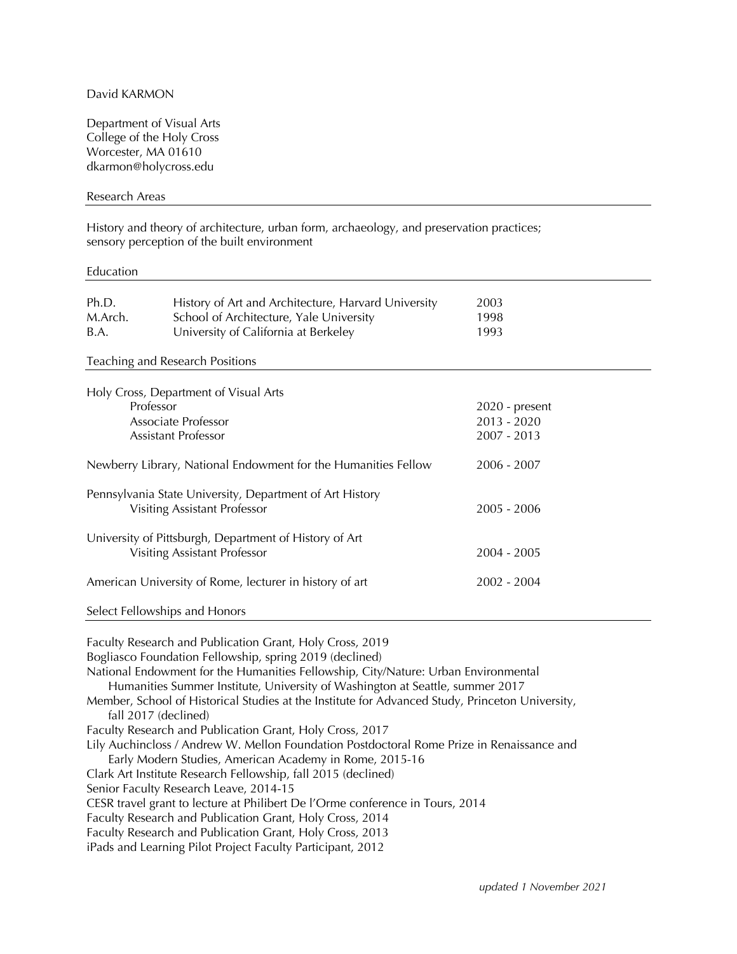# David KARMON

Department of Visual Arts College of the Holy Cross Worcester, MA 01610 dkarmon@holycross.edu

### Research Areas

History and theory of architecture, urban form, archaeology, and preservation practices; sensory perception of the built environment

#### Education

| Ph.D.                                                                                           | History of Art and Architecture, Harvard University                                                                         | 2003             |
|-------------------------------------------------------------------------------------------------|-----------------------------------------------------------------------------------------------------------------------------|------------------|
| M.Arch.                                                                                         | School of Architecture, Yale University                                                                                     | 1998             |
| B.A.                                                                                            | University of California at Berkeley                                                                                        | 1993             |
|                                                                                                 | Teaching and Research Positions                                                                                             |                  |
|                                                                                                 | Holy Cross, Department of Visual Arts                                                                                       |                  |
| Professor                                                                                       |                                                                                                                             | $2020$ - present |
| Associate Professor                                                                             |                                                                                                                             | $2013 - 2020$    |
|                                                                                                 | Assistant Professor                                                                                                         | $2007 - 2013$    |
| Newberry Library, National Endowment for the Humanities Fellow                                  |                                                                                                                             | 2006 - 2007      |
| Pennsylvania State University, Department of Art History<br><b>Visiting Assistant Professor</b> |                                                                                                                             | $2005 - 2006$    |
| University of Pittsburgh, Department of History of Art<br>Visiting Assistant Professor          |                                                                                                                             | 2004 - 2005      |
| American University of Rome, lecturer in history of art                                         |                                                                                                                             | $2002 - 2004$    |
|                                                                                                 | Select Fellowships and Honors                                                                                               |                  |
|                                                                                                 | $E_{\text{c}}$ $E_{\text{c}}$ , $E_{\text{c}}$ , $E_{\text{c}}$ , $E_{\text{c}}$ , $E_{\text{c}}$ , $E_{\text{c}}$ , $0.10$ |                  |

Faculty Research and Publication Grant, Holy Cross, 2019 Bogliasco Foundation Fellowship, spring 2019 (declined) National Endowment for the Humanities Fellowship, City/Nature: Urban Environmental Humanities Summer Institute, University of Washington at Seattle, summer 2017 Member, School of Historical Studies at the Institute for Advanced Study, Princeton University, fall 2017 (declined) Faculty Research and Publication Grant, Holy Cross, 2017 Lily Auchincloss / Andrew W. Mellon Foundation Postdoctoral Rome Prize in Renaissance and Early Modern Studies, American Academy in Rome, 2015-16 Clark Art Institute Research Fellowship, fall 2015 (declined) Senior Faculty Research Leave, 2014-15 CESR travel grant to lecture at Philibert De l'Orme conference in Tours, 2014 Faculty Research and Publication Grant, Holy Cross, 2014 Faculty Research and Publication Grant, Holy Cross, 2013 iPads and Learning Pilot Project Faculty Participant, 2012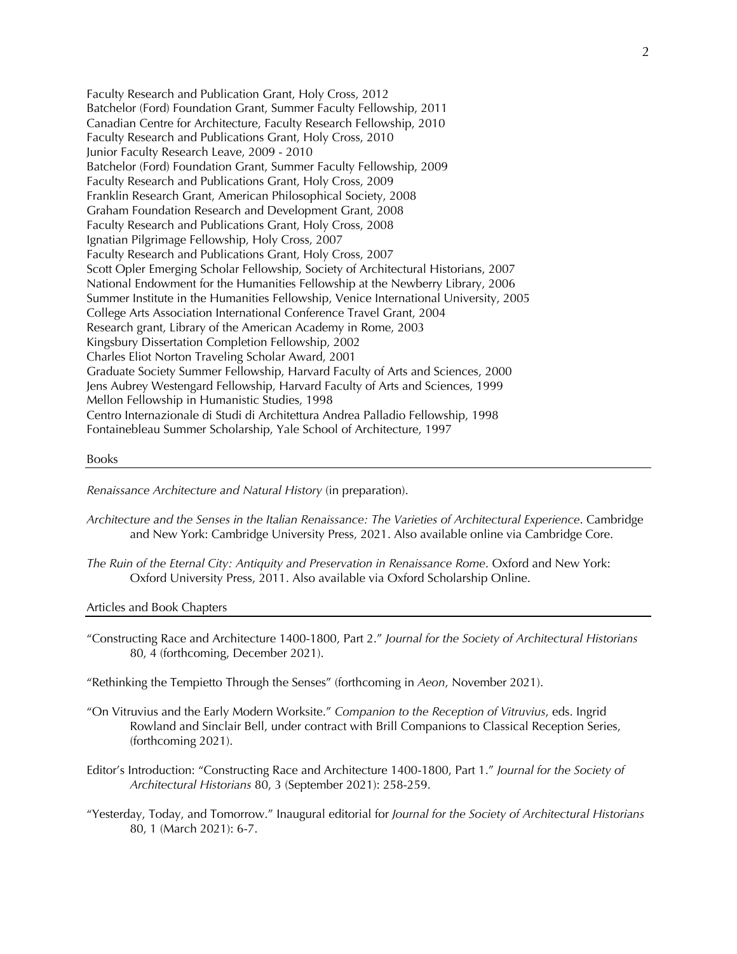Faculty Research and Publication Grant, Holy Cross, 2012 Batchelor (Ford) Foundation Grant, Summer Faculty Fellowship, 2011 Canadian Centre for Architecture, Faculty Research Fellowship, 2010 Faculty Research and Publications Grant, Holy Cross, 2010 Junior Faculty Research Leave, 2009 - 2010 Batchelor (Ford) Foundation Grant, Summer Faculty Fellowship, 2009 Faculty Research and Publications Grant, Holy Cross, 2009 Franklin Research Grant, American Philosophical Society, 2008 Graham Foundation Research and Development Grant, 2008 Faculty Research and Publications Grant, Holy Cross, 2008 Ignatian Pilgrimage Fellowship, Holy Cross, 2007 Faculty Research and Publications Grant, Holy Cross, 2007 Scott Opler Emerging Scholar Fellowship, Society of Architectural Historians, 2007 National Endowment for the Humanities Fellowship at the Newberry Library, 2006 Summer Institute in the Humanities Fellowship, Venice International University, 2005 College Arts Association International Conference Travel Grant, 2004 Research grant, Library of the American Academy in Rome, 2003 Kingsbury Dissertation Completion Fellowship, 2002 Charles Eliot Norton Traveling Scholar Award, 2001 Graduate Society Summer Fellowship, Harvard Faculty of Arts and Sciences, 2000 Jens Aubrey Westengard Fellowship, Harvard Faculty of Arts and Sciences, 1999 Mellon Fellowship in Humanistic Studies, 1998 Centro Internazionale di Studi di Architettura Andrea Palladio Fellowship, 1998 Fontainebleau Summer Scholarship, Yale School of Architecture, 1997

### Books

*Renaissance Architecture and Natural History* (in preparation).

- *Architecture and the Senses in the Italian Renaissance: The Varieties of Architectural Experience*. Cambridge and New York: Cambridge University Press, 2021. Also available online via Cambridge Core.
- *The Ruin of the Eternal City: Antiquity and Preservation in Renaissance Rome*. Oxford and New York: Oxford University Press, 2011. Also available via Oxford Scholarship Online.

Articles and Book Chapters

"Constructing Race and Architecture 1400-1800, Part 2." *Journal for the Society of Architectural Historians* 80, 4 (forthcoming, December 2021).

"Rethinking the Tempietto Through the Senses" (forthcoming in *Aeon*, November 2021).

- "On Vitruvius and the Early Modern Worksite." *Companion to the Reception of Vitruvius*, eds. Ingrid Rowland and Sinclair Bell, under contract with Brill Companions to Classical Reception Series, (forthcoming 2021).
- Editor's Introduction: "Constructing Race and Architecture 1400-1800, Part 1." *Journal for the Society of Architectural Historians* 80, 3 (September 2021): 258-259.
- "Yesterday, Today, and Tomorrow." Inaugural editorial for *Journal for the Society of Architectural Historians* 80, 1 (March 2021): 6-7.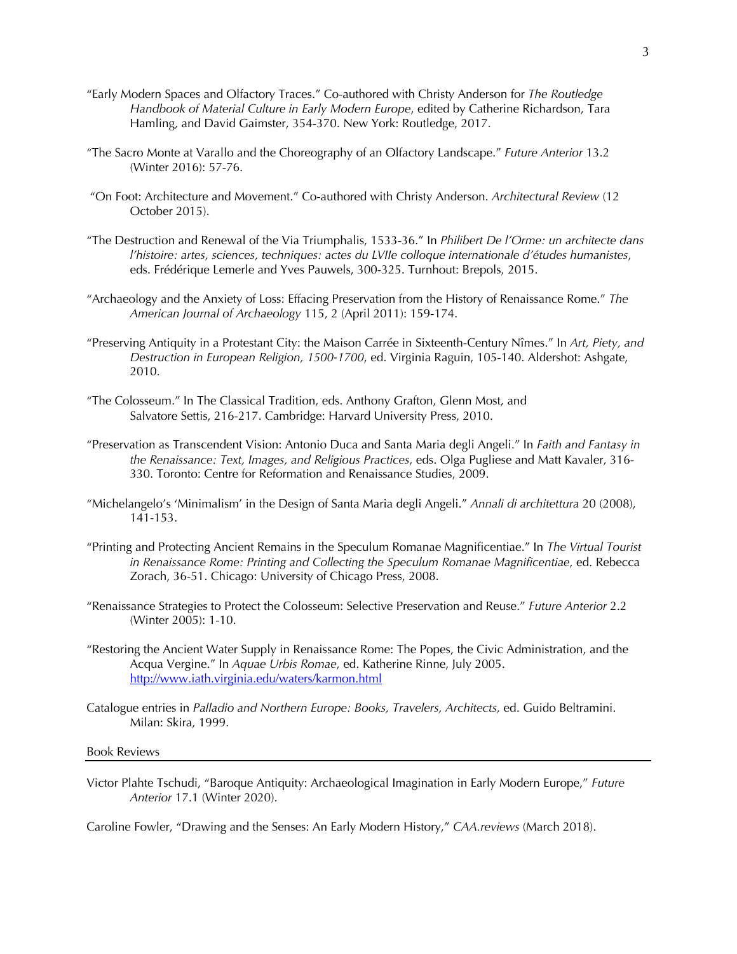- "Early Modern Spaces and Olfactory Traces." Co-authored with Christy Anderson for *The Routledge Handbook of Material Culture in Early Modern Europe*, edited by Catherine Richardson, Tara Hamling, and David Gaimster, 354-370. New York: Routledge, 2017.
- "The Sacro Monte at Varallo and the Choreography of an Olfactory Landscape." *Future Anterior* 13.2 (Winter 2016): 57-76.
- "On Foot: Architecture and Movement." Co-authored with Christy Anderson. *Architectural Review* (12 October 2015).
- "The Destruction and Renewal of the Via Triumphalis, 1533-36." In *Philibert De l'Orme: un architecte dans l'histoire: artes, sciences, techniques: actes du LVIIe colloque internationale d'études humanistes*, eds. Frédérique Lemerle and Yves Pauwels, 300-325. Turnhout: Brepols, 2015.
- "Archaeology and the Anxiety of Loss: Effacing Preservation from the History of Renaissance Rome." *The American Journal of Archaeology* 115, 2 (April 2011): 159-174.
- "Preserving Antiquity in a Protestant City: the Maison Carrée in Sixteenth-Century Nîmes." In *Art, Piety, and Destruction in European Religion, 1500-1700*, ed. Virginia Raguin, 105-140. Aldershot: Ashgate, 2010.
- "The Colosseum." In The Classical Tradition, eds. Anthony Grafton, Glenn Most, and Salvatore Settis, 216-217. Cambridge: Harvard University Press, 2010.
- "Preservation as Transcendent Vision: Antonio Duca and Santa Maria degli Angeli." In *Faith and Fantasy in the Renaissance: Text, Images, and Religious Practices*, eds. Olga Pugliese and Matt Kavaler, 316- 330. Toronto: Centre for Reformation and Renaissance Studies, 2009.
- "Michelangelo's 'Minimalism' in the Design of Santa Maria degli Angeli." *Annali di architettura* 20 (2008), 141-153.
- "Printing and Protecting Ancient Remains in the Speculum Romanae Magnificentiae." In *The Virtual Tourist in Renaissance Rome: Printing and Collecting the Speculum Romanae Magnificentiae*, ed. Rebecca Zorach, 36-51. Chicago: University of Chicago Press, 2008.
- "Renaissance Strategies to Protect the Colosseum: Selective Preservation and Reuse." *Future Anterior* 2.2 (Winter 2005): 1-10.
- "Restoring the Ancient Water Supply in Renaissance Rome: The Popes, the Civic Administration, and the Acqua Vergine." In *Aquae Urbis Romae*, ed. Katherine Rinne, July 2005. http://www.iath.virginia.edu/waters/karmon.html
- Catalogue entries in *Palladio and Northern Europe: Books, Travelers, Architects,* ed. Guido Beltramini. Milan: Skira, 1999.

### Book Reviews

Victor Plahte Tschudi, "Baroque Antiquity: Archaeological Imagination in Early Modern Europe," *Future Anterior* 17.1 (Winter 2020).

Caroline Fowler, "Drawing and the Senses: An Early Modern History," *CAA.reviews* (March 2018).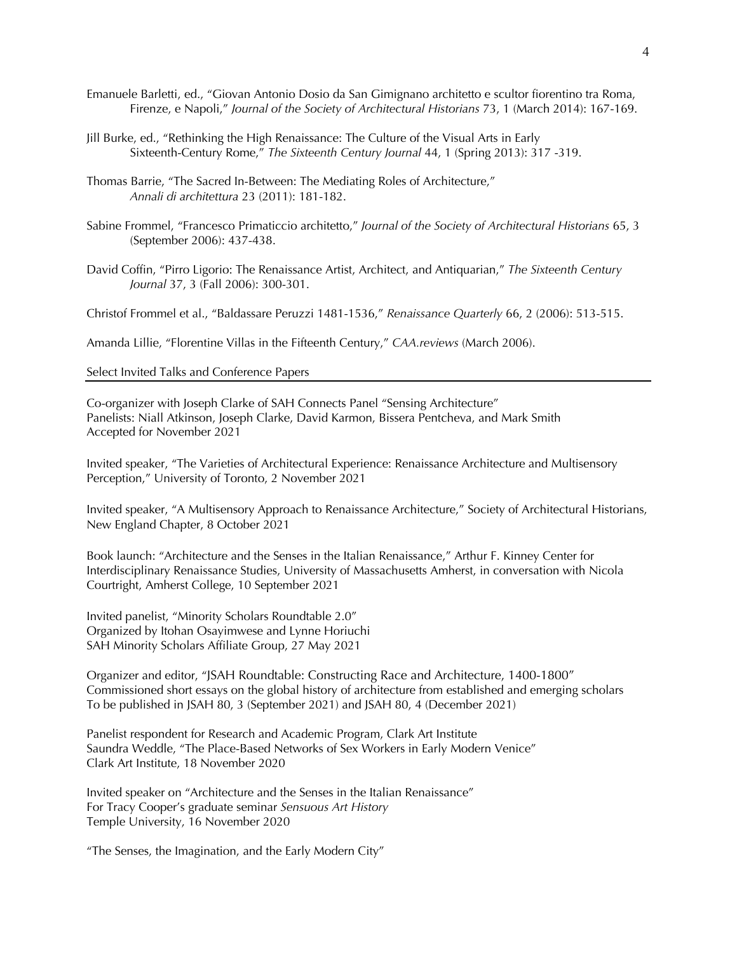- Emanuele Barletti, ed., "Giovan Antonio Dosio da San Gimignano architetto e scultor fiorentino tra Roma, Firenze, e Napoli," *Journal of the Society of Architectural Historians* 73, 1 (March 2014): 167-169.
- Jill Burke, ed., "Rethinking the High Renaissance: The Culture of the Visual Arts in Early Sixteenth-Century Rome," *The Sixteenth Century Journal* 44, 1 (Spring 2013): 317 -319.
- Thomas Barrie, "The Sacred In-Between: The Mediating Roles of Architecture," *Annali di architettura* 23 (2011): 181-182.
- Sabine Frommel, "Francesco Primaticcio architetto," *Journal of the Society of Architectural Historians* 65, 3 (September 2006): 437-438.
- David Coffin, "Pirro Ligorio: The Renaissance Artist, Architect, and Antiquarian," *The Sixteenth Century Journal* 37, 3 (Fall 2006): 300-301.

Christof Frommel et al., "Baldassare Peruzzi 1481-1536," *Renaissance Quarterly* 66, 2 (2006): 513-515.

Amanda Lillie, "Florentine Villas in the Fifteenth Century," *CAA.reviews* (March 2006).

## Select Invited Talks and Conference Papers

Co-organizer with Joseph Clarke of SAH Connects Panel "Sensing Architecture" Panelists: Niall Atkinson, Joseph Clarke, David Karmon, Bissera Pentcheva, and Mark Smith Accepted for November 2021

Invited speaker, "The Varieties of Architectural Experience: Renaissance Architecture and Multisensory Perception," University of Toronto, 2 November 2021

Invited speaker, "A Multisensory Approach to Renaissance Architecture," Society of Architectural Historians, New England Chapter, 8 October 2021

Book launch: "Architecture and the Senses in the Italian Renaissance," Arthur F. Kinney Center for Interdisciplinary Renaissance Studies, University of Massachusetts Amherst, in conversation with Nicola Courtright, Amherst College, 10 September 2021

Invited panelist, "Minority Scholars Roundtable 2.0" Organized by Itohan Osayimwese and Lynne Horiuchi SAH Minority Scholars Affiliate Group, 27 May 2021

Organizer and editor, "JSAH Roundtable: Constructing Race and Architecture, 1400-1800" Commissioned short essays on the global history of architecture from established and emerging scholars To be published in JSAH 80, 3 (September 2021) and JSAH 80, 4 (December 2021)

Panelist respondent for Research and Academic Program, Clark Art Institute Saundra Weddle, "The Place-Based Networks of Sex Workers in Early Modern Venice" Clark Art Institute, 18 November 2020

Invited speaker on "Architecture and the Senses in the Italian Renaissance" For Tracy Cooper's graduate seminar *Sensuous Art History* Temple University, 16 November 2020

"The Senses, the Imagination, and the Early Modern City"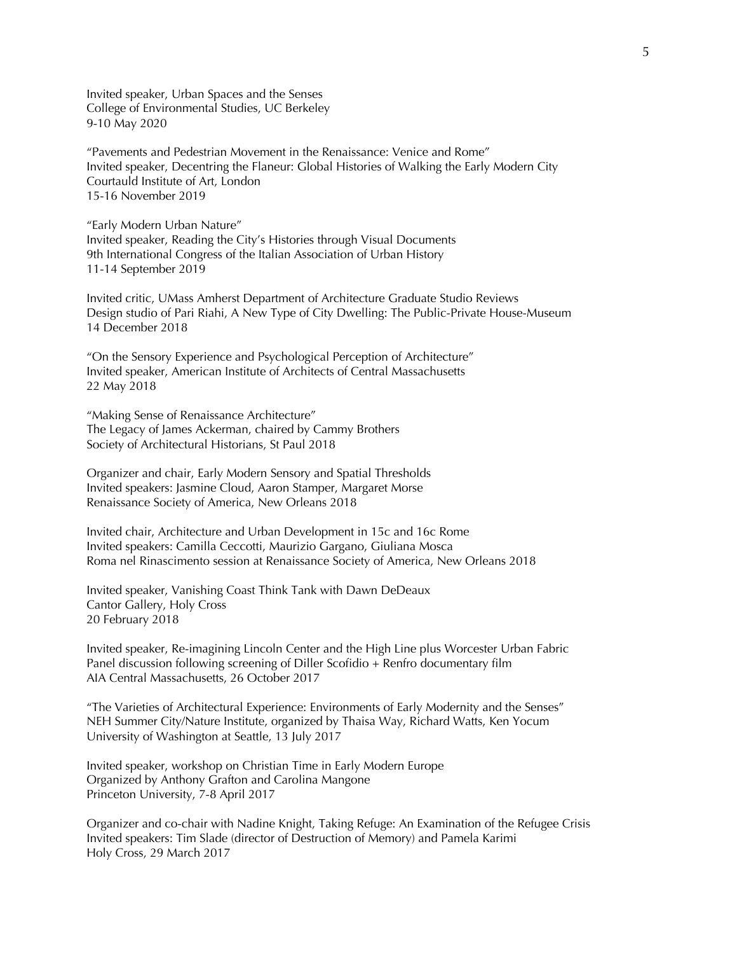Invited speaker, Urban Spaces and the Senses College of Environmental Studies, UC Berkeley 9-10 May 2020

"Pavements and Pedestrian Movement in the Renaissance: Venice and Rome" Invited speaker, Decentring the Flaneur: Global Histories of Walking the Early Modern City Courtauld Institute of Art, London 15-16 November 2019

"Early Modern Urban Nature" Invited speaker, Reading the City's Histories through Visual Documents 9th International Congress of the Italian Association of Urban History 11-14 September 2019

Invited critic, UMass Amherst Department of Architecture Graduate Studio Reviews Design studio of Pari Riahi, A New Type of City Dwelling: The Public-Private House-Museum 14 December 2018

"On the Sensory Experience and Psychological Perception of Architecture" Invited speaker, American Institute of Architects of Central Massachusetts 22 May 2018

"Making Sense of Renaissance Architecture" The Legacy of James Ackerman, chaired by Cammy Brothers Society of Architectural Historians, St Paul 2018

Organizer and chair, Early Modern Sensory and Spatial Thresholds Invited speakers: Jasmine Cloud, Aaron Stamper, Margaret Morse Renaissance Society of America, New Orleans 2018

Invited chair, Architecture and Urban Development in 15c and 16c Rome Invited speakers: Camilla Ceccotti, Maurizio Gargano, Giuliana Mosca Roma nel Rinascimento session at Renaissance Society of America, New Orleans 2018

Invited speaker, Vanishing Coast Think Tank with Dawn DeDeaux Cantor Gallery, Holy Cross 20 February 2018

Invited speaker, Re-imagining Lincoln Center and the High Line plus Worcester Urban Fabric Panel discussion following screening of Diller Scofidio + Renfro documentary film AIA Central Massachusetts, 26 October 2017

"The Varieties of Architectural Experience: Environments of Early Modernity and the Senses" NEH Summer City/Nature Institute, organized by Thaisa Way, Richard Watts, Ken Yocum University of Washington at Seattle, 13 July 2017

Invited speaker, workshop on Christian Time in Early Modern Europe Organized by Anthony Grafton and Carolina Mangone Princeton University, 7-8 April 2017

Organizer and co-chair with Nadine Knight, Taking Refuge: An Examination of the Refugee Crisis Invited speakers: Tim Slade (director of Destruction of Memory) and Pamela Karimi Holy Cross, 29 March 2017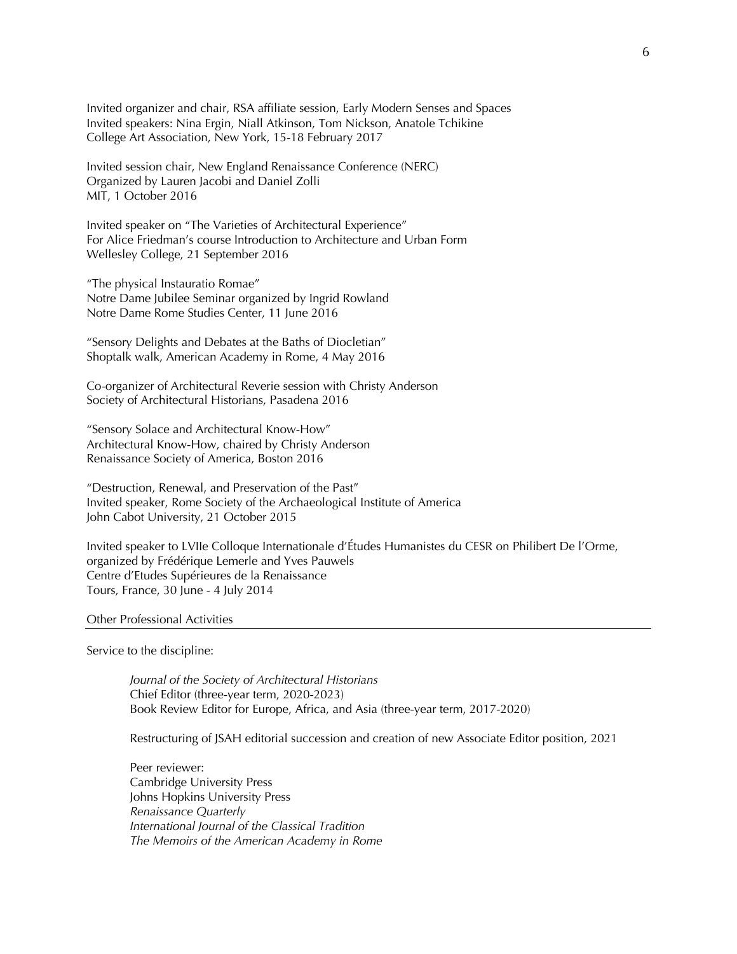Invited organizer and chair, RSA affiliate session, Early Modern Senses and Spaces Invited speakers: Nina Ergin, Niall Atkinson, Tom Nickson, Anatole Tchikine College Art Association, New York, 15-18 February 2017

Invited session chair, New England Renaissance Conference (NERC) Organized by Lauren Jacobi and Daniel Zolli MIT, 1 October 2016

Invited speaker on "The Varieties of Architectural Experience" For Alice Friedman's course Introduction to Architecture and Urban Form Wellesley College, 21 September 2016

"The physical Instauratio Romae" Notre Dame Jubilee Seminar organized by Ingrid Rowland Notre Dame Rome Studies Center, 11 June 2016

"Sensory Delights and Debates at the Baths of Diocletian" Shoptalk walk, American Academy in Rome, 4 May 2016

Co-organizer of Architectural Reverie session with Christy Anderson Society of Architectural Historians, Pasadena 2016

"Sensory Solace and Architectural Know-How" Architectural Know-How, chaired by Christy Anderson Renaissance Society of America, Boston 2016

"Destruction, Renewal, and Preservation of the Past" Invited speaker, Rome Society of the Archaeological Institute of America John Cabot University, 21 October 2015

Invited speaker to LVIIe Colloque Internationale d'Études Humanistes du CESR on Philibert De l'Orme, organized by Frédérique Lemerle and Yves Pauwels Centre d'Etudes Supérieures de la Renaissance Tours, France, 30 June - 4 July 2014

#### Other Professional Activities

Service to the discipline:

*Journal of the Society of Architectural Historians* Chief Editor (three-year term, 2020-2023) Book Review Editor for Europe, Africa, and Asia (three-year term, 2017-2020)

Restructuring of JSAH editorial succession and creation of new Associate Editor position, 2021

Peer reviewer: Cambridge University Press Johns Hopkins University Press *Renaissance Quarterly International Journal of the Classical Tradition The Memoirs of the American Academy in Rome*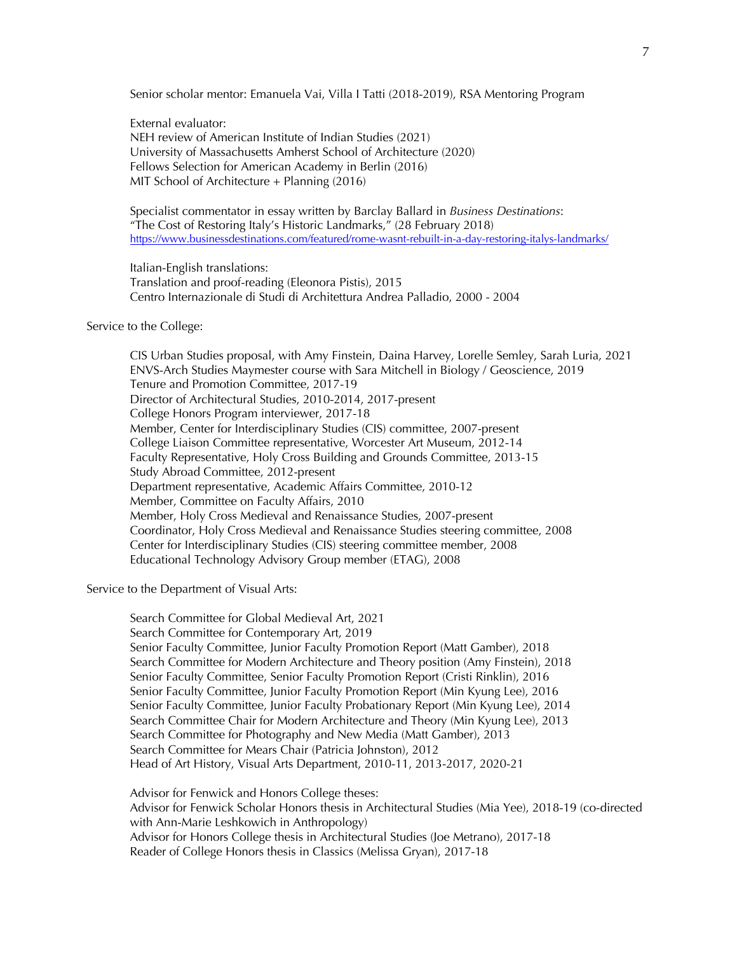Senior scholar mentor: Emanuela Vai, Villa I Tatti (2018-2019), RSA Mentoring Program

External evaluator:

NEH review of American Institute of Indian Studies (2021) University of Massachusetts Amherst School of Architecture (2020) Fellows Selection for American Academy in Berlin (2016) MIT School of Architecture + Planning (2016)

Specialist commentator in essay written by Barclay Ballard in *Business Destinations*: "The Cost of Restoring Italy's Historic Landmarks," (28 February 2018) https://www.businessdestinations.com/featured/rome-wasnt-rebuilt-in-a-day-restoring-italys-landmarks/

Italian-English translations: Translation and proof-reading (Eleonora Pistis), 2015 Centro Internazionale di Studi di Architettura Andrea Palladio, 2000 - 2004

# Service to the College:

CIS Urban Studies proposal, with Amy Finstein, Daina Harvey, Lorelle Semley, Sarah Luria, 2021 ENVS-Arch Studies Maymester course with Sara Mitchell in Biology / Geoscience, 2019 Tenure and Promotion Committee, 2017-19 Director of Architectural Studies, 2010-2014, 2017-present College Honors Program interviewer, 2017-18 Member, Center for Interdisciplinary Studies (CIS) committee, 2007-present College Liaison Committee representative, Worcester Art Museum, 2012-14 Faculty Representative, Holy Cross Building and Grounds Committee, 2013-15 Study Abroad Committee, 2012-present Department representative, Academic Affairs Committee, 2010-12 Member, Committee on Faculty Affairs, 2010 Member, Holy Cross Medieval and Renaissance Studies, 2007-present Coordinator, Holy Cross Medieval and Renaissance Studies steering committee, 2008 Center for Interdisciplinary Studies (CIS) steering committee member, 2008 Educational Technology Advisory Group member (ETAG), 2008

Service to the Department of Visual Arts:

Search Committee for Global Medieval Art, 2021 Search Committee for Contemporary Art, 2019 Senior Faculty Committee, Junior Faculty Promotion Report (Matt Gamber), 2018 Search Committee for Modern Architecture and Theory position (Amy Finstein), 2018 Senior Faculty Committee, Senior Faculty Promotion Report (Cristi Rinklin), 2016 Senior Faculty Committee, Junior Faculty Promotion Report (Min Kyung Lee), 2016 Senior Faculty Committee, Junior Faculty Probationary Report (Min Kyung Lee), 2014 Search Committee Chair for Modern Architecture and Theory (Min Kyung Lee), 2013 Search Committee for Photography and New Media (Matt Gamber), 2013 Search Committee for Mears Chair (Patricia Johnston), 2012 Head of Art History, Visual Arts Department, 2010-11, 2013-2017, 2020-21

Advisor for Fenwick and Honors College theses: Advisor for Fenwick Scholar Honors thesis in Architectural Studies (Mia Yee), 2018-19 (co-directed with Ann-Marie Leshkowich in Anthropology) Advisor for Honors College thesis in Architectural Studies (Joe Metrano), 2017-18 Reader of College Honors thesis in Classics (Melissa Gryan), 2017-18